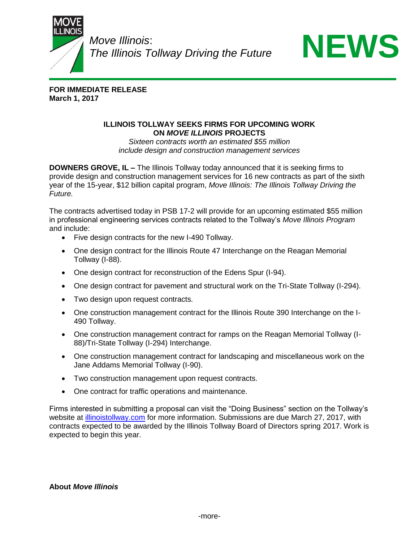

*Move Illinois*: *The Illinois Tollway Driving the Future*



**FOR IMMEDIATE RELEASE March 1, 2017**

## **ILLINOIS TOLLWAY SEEKS FIRMS FOR UPCOMING WORK ON** *MOVE ILLINOIS* **PROJECTS**

*Sixteen contracts worth an estimated \$55 million include design and construction management services*

**DOWNERS GROVE, IL –** The Illinois Tollway today announced that it is seeking firms to provide design and construction management services for 16 new contracts as part of the sixth year of the 15-year, \$12 billion capital program, *Move Illinois: The Illinois Tollway Driving the Future.*

The contracts advertised today in PSB 17-2 will provide for an upcoming estimated \$55 million in professional engineering services contracts related to the Tollway's *Move Illinois Program* and include:

- Five design contracts for the new I-490 Tollway.
- One design contract for the Illinois Route 47 Interchange on the Reagan Memorial Tollway (I-88).
- One design contract for reconstruction of the Edens Spur (I-94).
- One design contract for pavement and structural work on the Tri-State Tollway (I-294).
- Two design upon request contracts.
- One construction management contract for the Illinois Route 390 Interchange on the I-490 Tollway.
- One construction management contract for ramps on the Reagan Memorial Tollway (I-88)/Tri-State Tollway (I-294) Interchange.
- One construction management contract for landscaping and miscellaneous work on the Jane Addams Memorial Tollway (I-90).
- Two construction management upon request contracts.
- One contract for traffic operations and maintenance.

Firms interested in submitting a proposal can visit the "Doing Business" section on the Tollway's website at [illinoistollway.com](http://www.illinoistollway.com/) for more information. Submissions are due March 27, 2017, with contracts expected to be awarded by the Illinois Tollway Board of Directors spring 2017. Work is expected to begin this year.

**About** *Move Illinois*